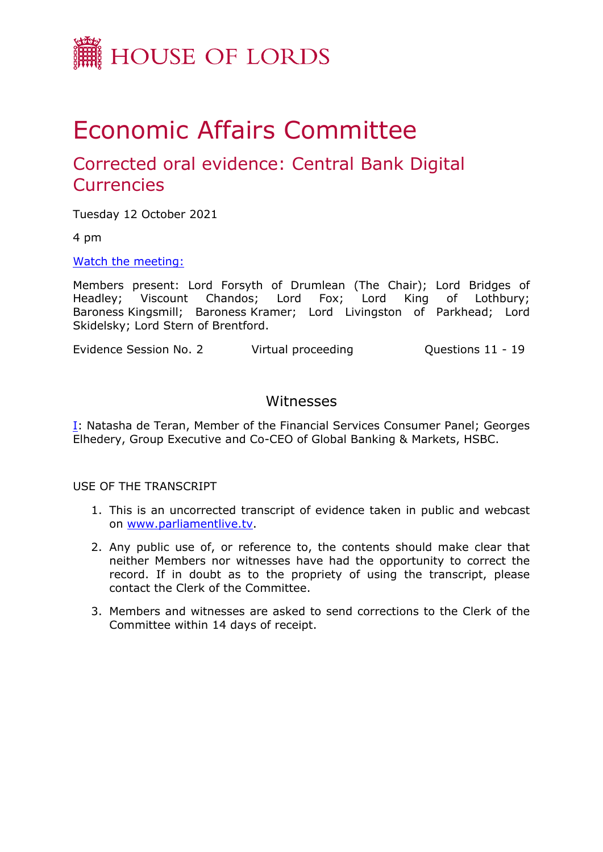

# Economic Affairs Committee

## Corrected oral evidence: Central Bank Digital **Currencies**

Tuesday 12 October 2021

4 pm

[Watch](https://www.parliamentlive.tv/Event/Index/17beb332-b1e0-4841-ac5f-d88b50bd71ce) [the](https://www.parliamentlive.tv/Event/Index/17beb332-b1e0-4841-ac5f-d88b50bd71ce) [meeting:](https://www.parliamentlive.tv/Event/Index/17beb332-b1e0-4841-ac5f-d88b50bd71ce)

Members present: Lord Forsyth of Drumlean (The Chair); Lord Bridges of Headley; Viscount Chandos; Lord Fox; Lord King of Lothbury; Baroness Kingsmill; Baroness Kramer; Lord Livingston of Parkhead; Lord Skidelsky; Lord Stern of Brentford.

Evidence Session No. 2 Virtual proceeding Cuestions 11 - 19

### Witnesses

[I:](#page-1-0) Natasha de Teran, Member of the Financial Services Consumer Panel; Georges Elhedery, Group Executive and Co-CEO of Global Banking & Markets, HSBC.

USE OF THE TRANSCRIPT

- 1. This is an uncorrected transcript of evidence taken in public and webcast on [www.parliamentlive.tv.](http://www.parliamentlive.tv/)
- 2. Any public use of, or reference to, the contents should make clear that neither Members nor witnesses have had the opportunity to correct the record. If in doubt as to the propriety of using the transcript, please contact the Clerk of the Committee.
- 3. Members and witnesses are asked to send corrections to the Clerk of the Committee within 14 days of receipt.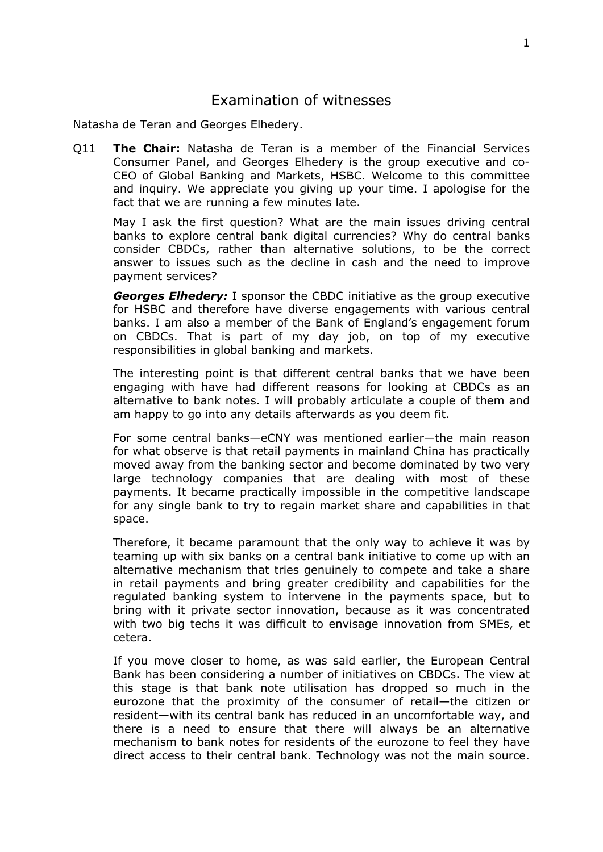### <span id="page-1-0"></span>Examination of witnesses

Natasha de Teran and Georges Elhedery.

Q11 **The Chair:** Natasha de Teran is a member of the Financial Services Consumer Panel, and Georges Elhedery is the group executive and co-CEO of Global Banking and Markets, HSBC. Welcome to this committee and inquiry. We appreciate you giving up your time. I apologise for the fact that we are running a few minutes late.

May I ask the first question? What are the main issues driving central banks to explore central bank digital currencies? Why do central banks consider CBDCs, rather than alternative solutions, to be the correct answer to issues such as the decline in cash and the need to improve payment services?

*Georges Elhedery:* I sponsor the CBDC initiative as the group executive for HSBC and therefore have diverse engagements with various central banks. I am also a member of the Bank of England's engagement forum on CBDCs. That is part of my day job, on top of my executive responsibilities in global banking and markets.

The interesting point is that different central banks that we have been engaging with have had different reasons for looking at CBDCs as an alternative to bank notes. I will probably articulate a couple of them and am happy to go into any details afterwards as you deem fit.

For some central banks—eCNY was mentioned earlier—the main reason for what observe is that retail payments in mainland China has practically moved away from the banking sector and become dominated by two very large technology companies that are dealing with most of these payments. It became practically impossible in the competitive landscape for any single bank to try to regain market share and capabilities in that space.

Therefore, it became paramount that the only way to achieve it was by teaming up with six banks on a central bank initiative to come up with an alternative mechanism that tries genuinely to compete and take a share in retail payments and bring greater credibility and capabilities for the regulated banking system to intervene in the payments space, but to bring with it private sector innovation, because as it was concentrated with two big techs it was difficult to envisage innovation from SMEs, et cetera.

If you move closer to home, as was said earlier, the European Central Bank has been considering a number of initiatives on CBDCs. The view at this stage is that bank note utilisation has dropped so much in the eurozone that the proximity of the consumer of retail—the citizen or resident—with its central bank has reduced in an uncomfortable way, and there is a need to ensure that there will always be an alternative mechanism to bank notes for residents of the eurozone to feel they have direct access to their central bank. Technology was not the main source.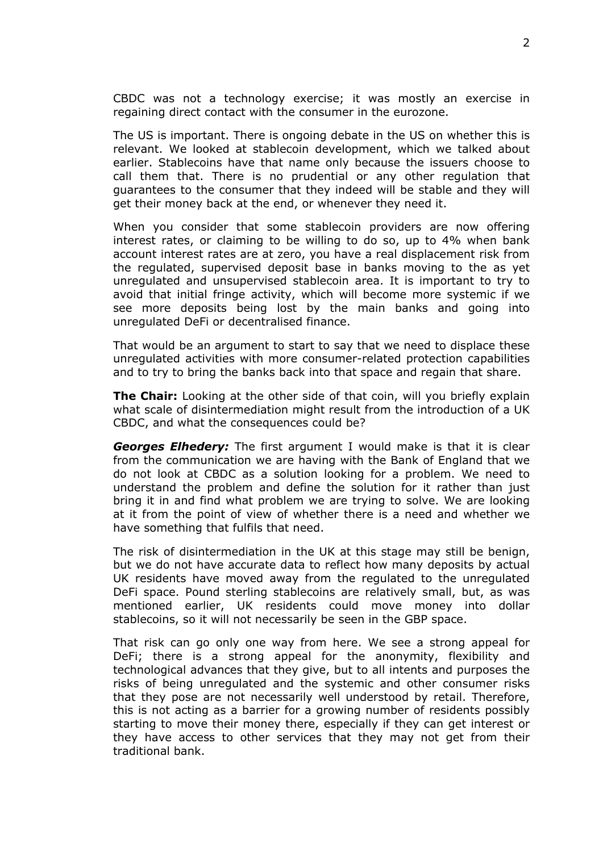CBDC was not a technology exercise; it was mostly an exercise in regaining direct contact with the consumer in the eurozone.

The US is important. There is ongoing debate in the US on whether this is relevant. We looked at stablecoin development, which we talked about earlier. Stablecoins have that name only because the issuers choose to call them that. There is no prudential or any other regulation that guarantees to the consumer that they indeed will be stable and they will get their money back at the end, or whenever they need it.

When you consider that some stablecoin providers are now offering interest rates, or claiming to be willing to do so, up to 4% when bank account interest rates are at zero, you have a real displacement risk from the regulated, supervised deposit base in banks moving to the as yet unregulated and unsupervised stablecoin area. It is important to try to avoid that initial fringe activity, which will become more systemic if we see more deposits being lost by the main banks and going into unregulated DeFi or decentralised finance.

That would be an argument to start to say that we need to displace these unregulated activities with more consumer-related protection capabilities and to try to bring the banks back into that space and regain that share.

**The Chair:** Looking at the other side of that coin, will you briefly explain what scale of disintermediation might result from the introduction of a UK CBDC, and what the consequences could be?

*Georges Elhedery:* The first argument I would make is that it is clear from the communication we are having with the Bank of England that we do not look at CBDC as a solution looking for a problem. We need to understand the problem and define the solution for it rather than just bring it in and find what problem we are trying to solve. We are looking at it from the point of view of whether there is a need and whether we have something that fulfils that need.

The risk of disintermediation in the UK at this stage may still be benign, but we do not have accurate data to reflect how many deposits by actual UK residents have moved away from the regulated to the unregulated DeFi space. Pound sterling stablecoins are relatively small, but, as was mentioned earlier, UK residents could move money into dollar stablecoins, so it will not necessarily be seen in the GBP space.

That risk can go only one way from here. We see a strong appeal for DeFi; there is a strong appeal for the anonymity, flexibility and technological advances that they give, but to all intents and purposes the risks of being unregulated and the systemic and other consumer risks that they pose are not necessarily well understood by retail. Therefore, this is not acting as a barrier for a growing number of residents possibly starting to move their money there, especially if they can get interest or they have access to other services that they may not get from their traditional bank.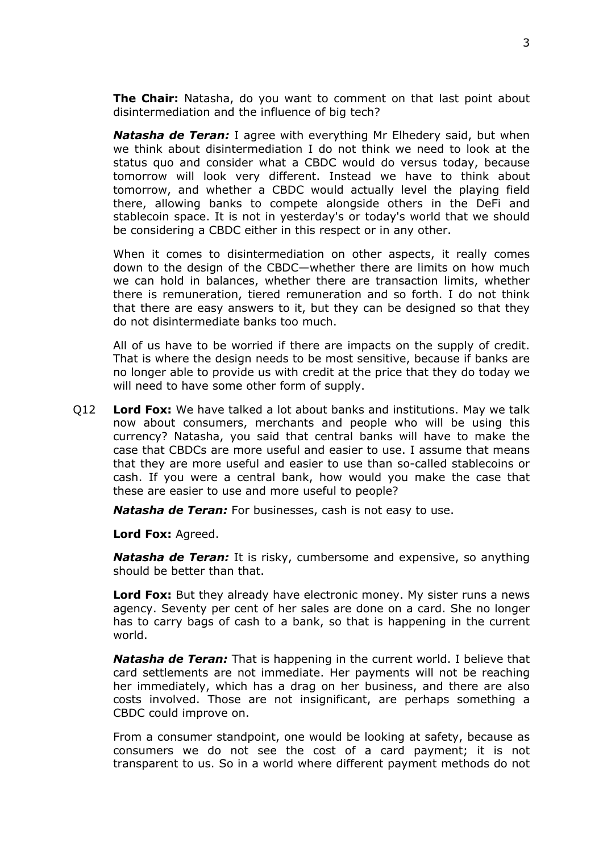**The Chair:** Natasha, do you want to comment on that last point about disintermediation and the influence of big tech?

*Natasha de Teran:* I agree with everything Mr Elhedery said, but when we think about disintermediation I do not think we need to look at the status quo and consider what a CBDC would do versus today, because tomorrow will look very different. Instead we have to think about tomorrow, and whether a CBDC would actually level the playing field there, allowing banks to compete alongside others in the DeFi and stablecoin space. It is not in yesterday's or today's world that we should be considering a CBDC either in this respect or in any other.

When it comes to disintermediation on other aspects, it really comes down to the design of the CBDC—whether there are limits on how much we can hold in balances, whether there are transaction limits, whether there is remuneration, tiered remuneration and so forth. I do not think that there are easy answers to it, but they can be designed so that they do not disintermediate banks too much.

All of us have to be worried if there are impacts on the supply of credit. That is where the design needs to be most sensitive, because if banks are no longer able to provide us with credit at the price that they do today we will need to have some other form of supply.

Q12 **Lord Fox:** We have talked a lot about banks and institutions. May we talk now about consumers, merchants and people who will be using this currency? Natasha, you said that central banks will have to make the case that CBDCs are more useful and easier to use. I assume that means that they are more useful and easier to use than so-called stablecoins or cash. If you were a central bank, how would you make the case that these are easier to use and more useful to people?

*Natasha de Teran:* For businesses, cash is not easy to use.

**Lord Fox:** Agreed.

*Natasha de Teran:* It is risky, cumbersome and expensive, so anything should be better than that.

**Lord Fox:** But they already have electronic money. My sister runs a news agency. Seventy per cent of her sales are done on a card. She no longer has to carry bags of cash to a bank, so that is happening in the current world.

*Natasha de Teran:* That is happening in the current world. I believe that card settlements are not immediate. Her payments will not be reaching her immediately, which has a drag on her business, and there are also costs involved. Those are not insignificant, are perhaps something a CBDC could improve on.

From a consumer standpoint, one would be looking at safety, because as consumers we do not see the cost of a card payment; it is not transparent to us. So in a world where different payment methods do not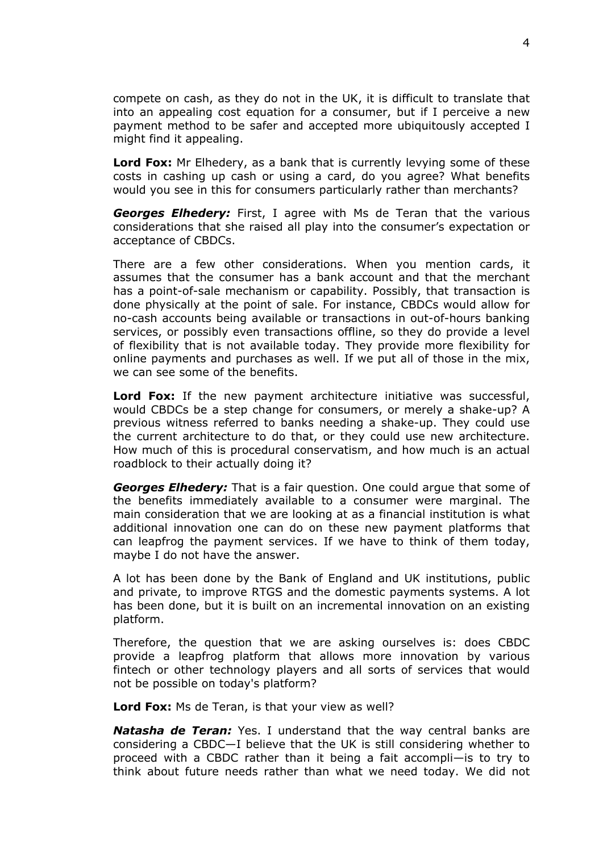compete on cash, as they do not in the UK, it is difficult to translate that into an appealing cost equation for a consumer, but if I perceive a new payment method to be safer and accepted more ubiquitously accepted I might find it appealing.

**Lord Fox:** Mr Elhedery, as a bank that is currently levying some of these costs in cashing up cash or using a card, do you agree? What benefits would you see in this for consumers particularly rather than merchants?

*Georges Elhedery:* First, I agree with Ms de Teran that the various considerations that she raised all play into the consumer's expectation or acceptance of CBDCs.

There are a few other considerations. When you mention cards, it assumes that the consumer has a bank account and that the merchant has a point-of-sale mechanism or capability. Possibly, that transaction is done physically at the point of sale. For instance, CBDCs would allow for no-cash accounts being available or transactions in out-of-hours banking services, or possibly even transactions offline, so they do provide a level of flexibility that is not available today. They provide more flexibility for online payments and purchases as well. If we put all of those in the mix, we can see some of the benefits.

**Lord Fox:** If the new payment architecture initiative was successful, would CBDCs be a step change for consumers, or merely a shake-up? A previous witness referred to banks needing a shake-up. They could use the current architecture to do that, or they could use new architecture. How much of this is procedural conservatism, and how much is an actual roadblock to their actually doing it?

*Georges Elhedery:* That is a fair question. One could argue that some of the benefits immediately available to a consumer were marginal. The main consideration that we are looking at as a financial institution is what additional innovation one can do on these new payment platforms that can leapfrog the payment services. If we have to think of them today, maybe I do not have the answer.

A lot has been done by the Bank of England and UK institutions, public and private, to improve RTGS and the domestic payments systems. A lot has been done, but it is built on an incremental innovation on an existing platform.

Therefore, the question that we are asking ourselves is: does CBDC provide a leapfrog platform that allows more innovation by various fintech or other technology players and all sorts of services that would not be possible on today's platform?

**Lord Fox:** Ms de Teran, is that your view as well?

*Natasha de Teran:* Yes. I understand that the way central banks are considering a CBDC—I believe that the UK is still considering whether to proceed with a CBDC rather than it being a fait accompli—is to try to think about future needs rather than what we need today. We did not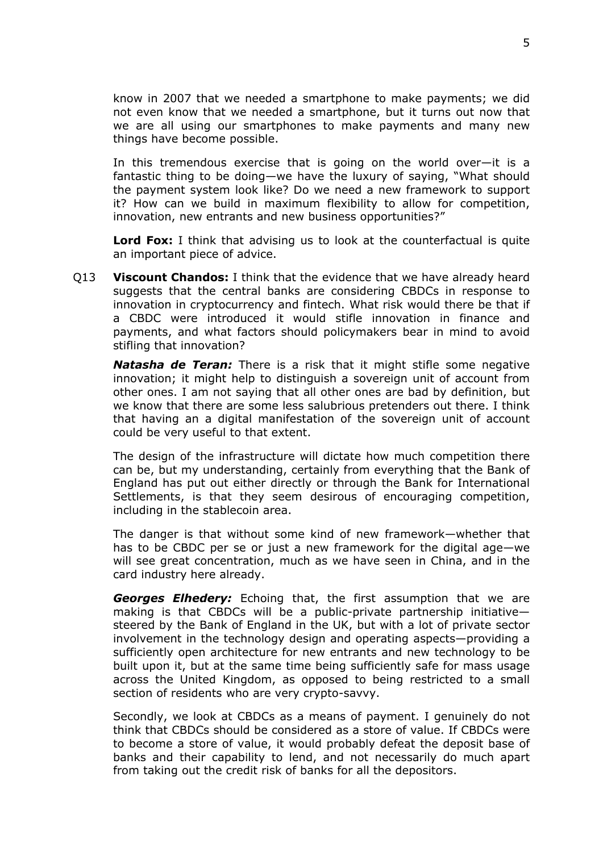know in 2007 that we needed a smartphone to make payments; we did not even know that we needed a smartphone, but it turns out now that we are all using our smartphones to make payments and many new things have become possible.

In this tremendous exercise that is going on the world over—it is a fantastic thing to be doing—we have the luxury of saying, "What should the payment system look like? Do we need a new framework to support it? How can we build in maximum flexibility to allow for competition, innovation, new entrants and new business opportunities?"

**Lord Fox:** I think that advising us to look at the counterfactual is quite an important piece of advice.

Q13 **Viscount Chandos:** I think that the evidence that we have already heard suggests that the central banks are considering CBDCs in response to innovation in cryptocurrency and fintech. What risk would there be that if a CBDC were introduced it would stifle innovation in finance and payments, and what factors should policymakers bear in mind to avoid stifling that innovation?

*Natasha de Teran:* There is a risk that it might stifle some negative innovation; it might help to distinguish a sovereign unit of account from other ones. I am not saying that all other ones are bad by definition, but we know that there are some less salubrious pretenders out there. I think that having an a digital manifestation of the sovereign unit of account could be very useful to that extent.

The design of the infrastructure will dictate how much competition there can be, but my understanding, certainly from everything that the Bank of England has put out either directly or through the Bank for International Settlements, is that they seem desirous of encouraging competition, including in the stablecoin area.

The danger is that without some kind of new framework—whether that has to be CBDC per se or just a new framework for the digital age—we will see great concentration, much as we have seen in China, and in the card industry here already.

*Georges Elhedery:* Echoing that, the first assumption that we are making is that CBDCs will be a public-private partnership initiative steered by the Bank of England in the UK, but with a lot of private sector involvement in the technology design and operating aspects—providing a sufficiently open architecture for new entrants and new technology to be built upon it, but at the same time being sufficiently safe for mass usage across the United Kingdom, as opposed to being restricted to a small section of residents who are very crypto-savvy.

Secondly, we look at CBDCs as a means of payment. I genuinely do not think that CBDCs should be considered as a store of value. If CBDCs were to become a store of value, it would probably defeat the deposit base of banks and their capability to lend, and not necessarily do much apart from taking out the credit risk of banks for all the depositors.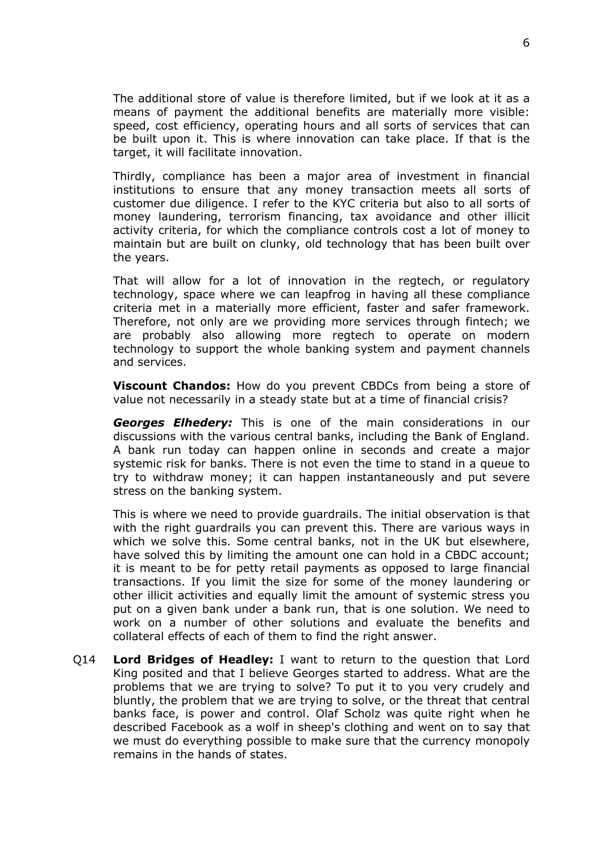The additional store of value is therefore limited, but if we look at it as a means of payment the additional benefits are materially more visible: speed, cost efficiency, operating hours and all sorts of services that can be built upon it. This is where innovation can take place. If that is the target, it will facilitate innovation.

Thirdly, compliance has been a major area of investment in financial institutions to ensure that any money transaction meets all sorts of customer due diligence. I refer to the KYC criteria but also to all sorts of money laundering, terrorism financing, tax avoidance and other illicit activity criteria, for which the compliance controls cost a lot of money to maintain but are built on clunky, old technology that has been built over the years.

That will allow for a lot of innovation in the regtech, or regulatory technology, space where we can leapfrog in having all these compliance criteria met in a materially more efficient, faster and safer framework. Therefore, not only are we providing more services through fintech; we are probably also allowing more regtech to operate on modern technology to support the whole banking system and payment channels and services.

**Viscount Chandos:** How do you prevent CBDCs from being a store of value not necessarily in a steady state but at a time of financial crisis?

*Georges Elhedery:* This is one of the main considerations in our discussions with the various central banks, including the Bank of England. A bank run today can happen online in seconds and create a major systemic risk for banks. There is not even the time to stand in a queue to try to withdraw money; it can happen instantaneously and put severe stress on the banking system.

This is where we need to provide guardrails. The initial observation is that with the right guardrails you can prevent this. There are various ways in which we solve this. Some central banks, not in the UK but elsewhere, have solved this by limiting the amount one can hold in a CBDC account; it is meant to be for petty retail payments as opposed to large financial transactions. If you limit the size for some of the money laundering or other illicit activities and equally limit the amount of systemic stress you put on a given bank under a bank run, that is one solution. We need to work on a number of other solutions and evaluate the benefits and collateral effects of each of them to find the right answer.

Q14 **Lord Bridges of Headley:** I want to return to the question that Lord King posited and that I believe Georges started to address. What are the problems that we are trying to solve? To put it to you very crudely and bluntly, the problem that we are trying to solve, or the threat that central banks face, is power and control. Olaf Scholz was quite right when he described Facebook as a wolf in sheep's clothing and went on to say that we must do everything possible to make sure that the currency monopoly remains in the hands of states.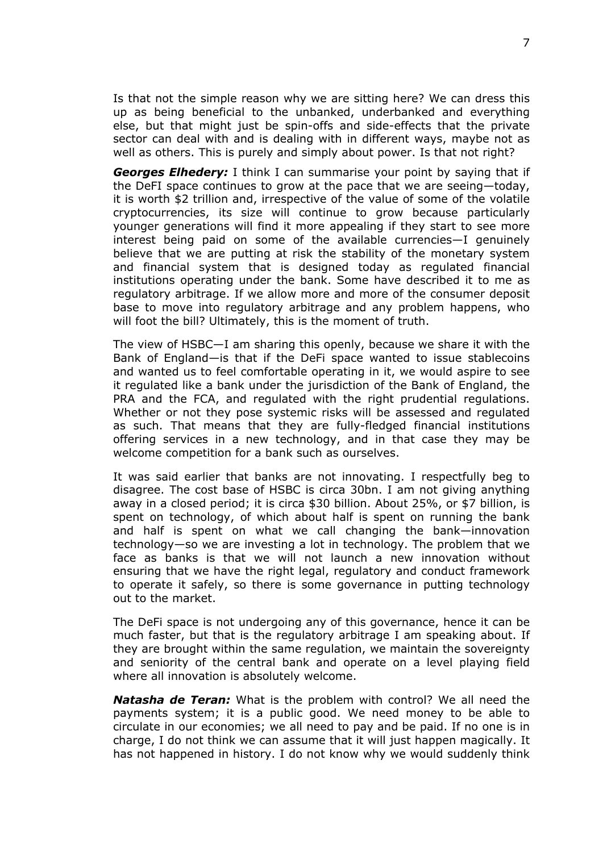Is that not the simple reason why we are sitting here? We can dress this up as being beneficial to the unbanked, underbanked and everything else, but that might just be spin-offs and side-effects that the private sector can deal with and is dealing with in different ways, maybe not as well as others. This is purely and simply about power. Is that not right?

*Georges Elhedery:* I think I can summarise your point by saying that if the DeFI space continues to grow at the pace that we are seeing—today, it is worth \$2 trillion and, irrespective of the value of some of the volatile cryptocurrencies, its size will continue to grow because particularly younger generations will find it more appealing if they start to see more interest being paid on some of the available currencies—I genuinely believe that we are putting at risk the stability of the monetary system and financial system that is designed today as regulated financial institutions operating under the bank. Some have described it to me as regulatory arbitrage. If we allow more and more of the consumer deposit base to move into regulatory arbitrage and any problem happens, who will foot the bill? Ultimately, this is the moment of truth.

The view of HSBC—I am sharing this openly, because we share it with the Bank of England—is that if the DeFi space wanted to issue stablecoins and wanted us to feel comfortable operating in it, we would aspire to see it regulated like a bank under the jurisdiction of the Bank of England, the PRA and the FCA, and regulated with the right prudential regulations. Whether or not they pose systemic risks will be assessed and regulated as such. That means that they are fully-fledged financial institutions offering services in a new technology, and in that case they may be welcome competition for a bank such as ourselves.

It was said earlier that banks are not innovating. I respectfully beg to disagree. The cost base of HSBC is circa 30bn. I am not giving anything away in a closed period; it is circa \$30 billion. About 25%, or \$7 billion, is spent on technology, of which about half is spent on running the bank and half is spent on what we call changing the bank—innovation technology—so we are investing a lot in technology. The problem that we face as banks is that we will not launch a new innovation without ensuring that we have the right legal, regulatory and conduct framework to operate it safely, so there is some governance in putting technology out to the market.

The DeFi space is not undergoing any of this governance, hence it can be much faster, but that is the regulatory arbitrage I am speaking about. If they are brought within the same regulation, we maintain the sovereignty and seniority of the central bank and operate on a level playing field where all innovation is absolutely welcome.

*Natasha de Teran:* What is the problem with control? We all need the payments system; it is a public good. We need money to be able to circulate in our economies; we all need to pay and be paid. If no one is in charge, I do not think we can assume that it will just happen magically. It has not happened in history. I do not know why we would suddenly think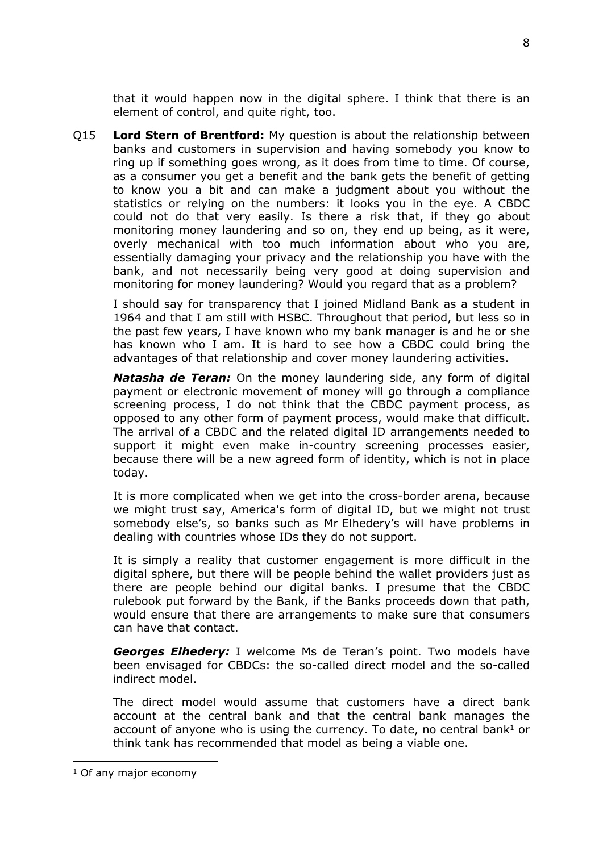that it would happen now in the digital sphere. I think that there is an element of control, and quite right, too.

Q15 **Lord Stern of Brentford:** My question is about the relationship between banks and customers in supervision and having somebody you know to ring up if something goes wrong, as it does from time to time. Of course, as a consumer you get a benefit and the bank gets the benefit of getting to know you a bit and can make a judgment about you without the statistics or relying on the numbers: it looks you in the eye. A CBDC could not do that very easily. Is there a risk that, if they go about monitoring money laundering and so on, they end up being, as it were, overly mechanical with too much information about who you are, essentially damaging your privacy and the relationship you have with the bank, and not necessarily being very good at doing supervision and monitoring for money laundering? Would you regard that as a problem?

I should say for transparency that I joined Midland Bank as a student in 1964 and that I am still with HSBC. Throughout that period, but less so in the past few years, I have known who my bank manager is and he or she has known who I am. It is hard to see how a CBDC could bring the advantages of that relationship and cover money laundering activities.

*Natasha de Teran:* On the money laundering side, any form of digital payment or electronic movement of money will go through a compliance screening process, I do not think that the CBDC payment process, as opposed to any other form of payment process, would make that difficult. The arrival of a CBDC and the related digital ID arrangements needed to support it might even make in-country screening processes easier, because there will be a new agreed form of identity, which is not in place today.

It is more complicated when we get into the cross-border arena, because we might trust say, America's form of digital ID, but we might not trust somebody else's, so banks such as Mr Elhedery's will have problems in dealing with countries whose IDs they do not support.

It is simply a reality that customer engagement is more difficult in the digital sphere, but there will be people behind the wallet providers just as there are people behind our digital banks. I presume that the CBDC rulebook put forward by the Bank, if the Banks proceeds down that path, would ensure that there are arrangements to make sure that consumers can have that contact.

*Georges Elhedery:* I welcome Ms de Teran's point. Two models have been envisaged for CBDCs: the so-called direct model and the so-called indirect model.

The direct model would assume that customers have a direct bank account at the central bank and that the central bank manages the account of anyone who is using the currency. To date, no central bank<sup>1</sup> or think tank has recommended that model as being a viable one.

<sup>&</sup>lt;sup>1</sup> Of any major economy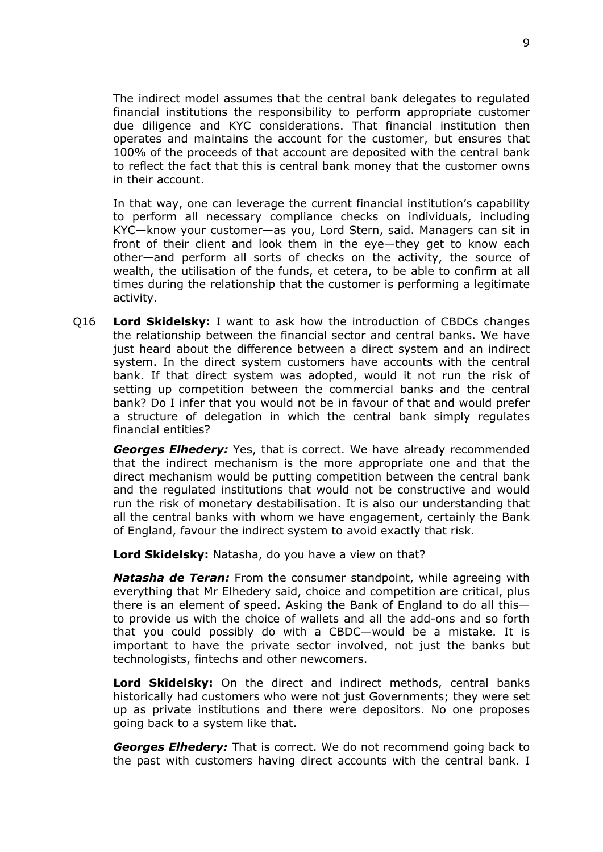The indirect model assumes that the central bank delegates to regulated financial institutions the responsibility to perform appropriate customer due diligence and KYC considerations. That financial institution then operates and maintains the account for the customer, but ensures that 100% of the proceeds of that account are deposited with the central bank to reflect the fact that this is central bank money that the customer owns in their account.

In that way, one can leverage the current financial institution's capability to perform all necessary compliance checks on individuals, including KYC—know your customer—as you, Lord Stern, said. Managers can sit in front of their client and look them in the eye—they get to know each other—and perform all sorts of checks on the activity, the source of wealth, the utilisation of the funds, et cetera, to be able to confirm at all times during the relationship that the customer is performing a legitimate activity.

Q16 **Lord Skidelsky:** I want to ask how the introduction of CBDCs changes the relationship between the financial sector and central banks. We have just heard about the difference between a direct system and an indirect system. In the direct system customers have accounts with the central bank. If that direct system was adopted, would it not run the risk of setting up competition between the commercial banks and the central bank? Do I infer that you would not be in favour of that and would prefer a structure of delegation in which the central bank simply regulates financial entities?

*Georges Elhedery:* Yes, that is correct. We have already recommended that the indirect mechanism is the more appropriate one and that the direct mechanism would be putting competition between the central bank and the regulated institutions that would not be constructive and would run the risk of monetary destabilisation. It is also our understanding that all the central banks with whom we have engagement, certainly the Bank of England, favour the indirect system to avoid exactly that risk.

**Lord Skidelsky:** Natasha, do you have a view on that?

*Natasha de Teran:* From the consumer standpoint, while agreeing with everything that Mr Elhedery said, choice and competition are critical, plus there is an element of speed. Asking the Bank of England to do all this to provide us with the choice of wallets and all the add-ons and so forth that you could possibly do with a CBDC—would be a mistake. It is important to have the private sector involved, not just the banks but technologists, fintechs and other newcomers.

**Lord Skidelsky:** On the direct and indirect methods, central banks historically had customers who were not just Governments; they were set up as private institutions and there were depositors. No one proposes going back to a system like that.

*Georges Elhedery:* That is correct. We do not recommend going back to the past with customers having direct accounts with the central bank. I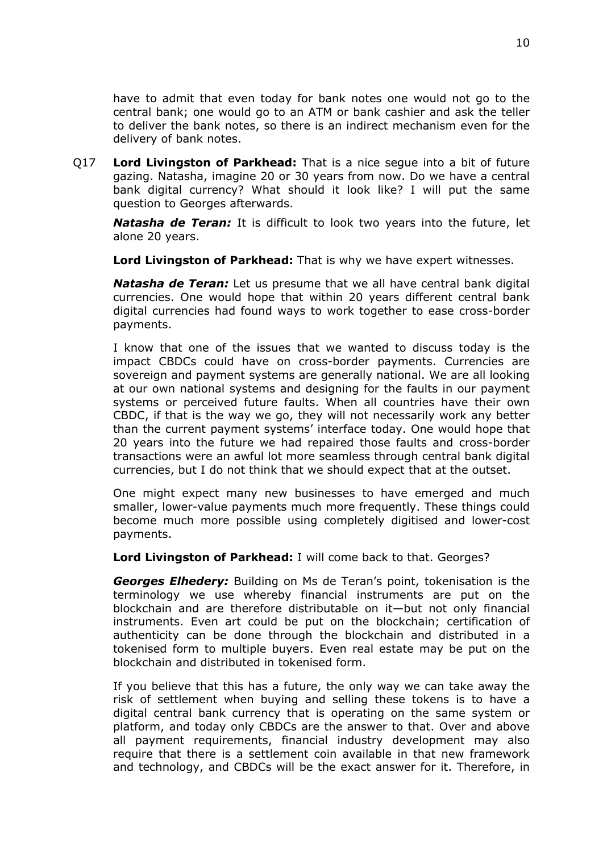have to admit that even today for bank notes one would not go to the central bank; one would go to an ATM or bank cashier and ask the teller to deliver the bank notes, so there is an indirect mechanism even for the delivery of bank notes.

Q17 **Lord Livingston of Parkhead:** That is a nice segue into a bit of future gazing. Natasha, imagine 20 or 30 years from now. Do we have a central bank digital currency? What should it look like? I will put the same question to Georges afterwards.

*Natasha de Teran:* It is difficult to look two years into the future, let alone 20 years.

**Lord Livingston of Parkhead:** That is why we have expert witnesses.

*Natasha de Teran:* Let us presume that we all have central bank digital currencies. One would hope that within 20 years different central bank digital currencies had found ways to work together to ease cross-border payments.

I know that one of the issues that we wanted to discuss today is the impact CBDCs could have on cross-border payments. Currencies are sovereign and payment systems are generally national. We are all looking at our own national systems and designing for the faults in our payment systems or perceived future faults. When all countries have their own CBDC, if that is the way we go, they will not necessarily work any better than the current payment systems' interface today. One would hope that 20 years into the future we had repaired those faults and cross-border transactions were an awful lot more seamless through central bank digital currencies, but I do not think that we should expect that at the outset.

One might expect many new businesses to have emerged and much smaller, lower-value payments much more frequently. These things could become much more possible using completely digitised and lower-cost payments.

**Lord Livingston of Parkhead:** I will come back to that. Georges?

*Georges Elhedery:* Building on Ms de Teran's point, tokenisation is the terminology we use whereby financial instruments are put on the blockchain and are therefore distributable on it—but not only financial instruments. Even art could be put on the blockchain; certification of authenticity can be done through the blockchain and distributed in a tokenised form to multiple buyers. Even real estate may be put on the blockchain and distributed in tokenised form.

If you believe that this has a future, the only way we can take away the risk of settlement when buying and selling these tokens is to have a digital central bank currency that is operating on the same system or platform, and today only CBDCs are the answer to that. Over and above all payment requirements, financial industry development may also require that there is a settlement coin available in that new framework and technology, and CBDCs will be the exact answer for it. Therefore, in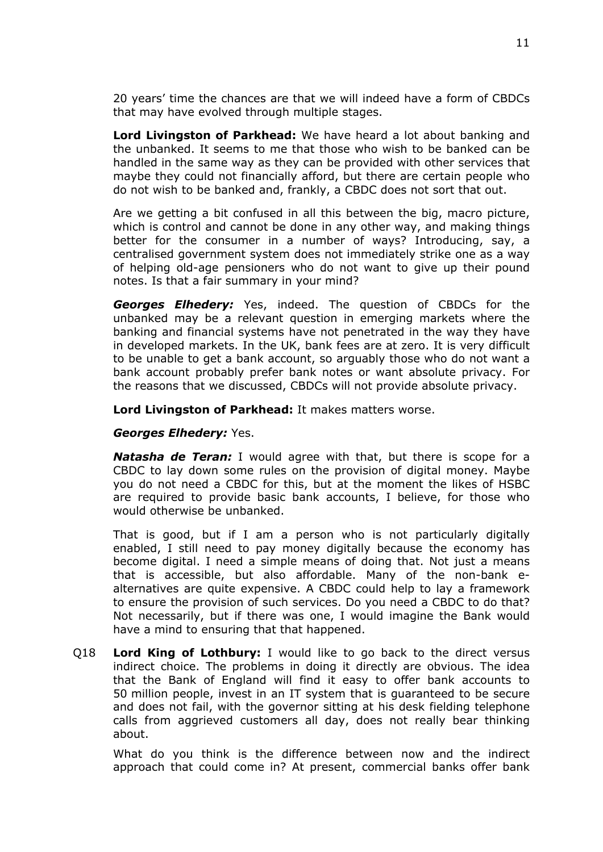20 years' time the chances are that we will indeed have a form of CBDCs that may have evolved through multiple stages.

**Lord Livingston of Parkhead:** We have heard a lot about banking and the unbanked. It seems to me that those who wish to be banked can be handled in the same way as they can be provided with other services that maybe they could not financially afford, but there are certain people who do not wish to be banked and, frankly, a CBDC does not sort that out.

Are we getting a bit confused in all this between the big, macro picture, which is control and cannot be done in any other way, and making things better for the consumer in a number of ways? Introducing, say, a centralised government system does not immediately strike one as a way of helping old-age pensioners who do not want to give up their pound notes. Is that a fair summary in your mind?

*Georges Elhedery:* Yes, indeed. The question of CBDCs for the unbanked may be a relevant question in emerging markets where the banking and financial systems have not penetrated in the way they have in developed markets. In the UK, bank fees are at zero. It is very difficult to be unable to get a bank account, so arguably those who do not want a bank account probably prefer bank notes or want absolute privacy. For the reasons that we discussed, CBDCs will not provide absolute privacy.

**Lord Livingston of Parkhead:** It makes matters worse.

#### *Georges Elhedery:* Yes.

*Natasha de Teran:* I would agree with that, but there is scope for a CBDC to lay down some rules on the provision of digital money. Maybe you do not need a CBDC for this, but at the moment the likes of HSBC are required to provide basic bank accounts, I believe, for those who would otherwise be unbanked.

That is good, but if I am a person who is not particularly digitally enabled, I still need to pay money digitally because the economy has become digital. I need a simple means of doing that. Not just a means that is accessible, but also affordable. Many of the non-bank ealternatives are quite expensive. A CBDC could help to lay a framework to ensure the provision of such services. Do you need a CBDC to do that? Not necessarily, but if there was one, I would imagine the Bank would have a mind to ensuring that that happened.

Q18 **Lord King of Lothbury:** I would like to go back to the direct versus indirect choice. The problems in doing it directly are obvious. The idea that the Bank of England will find it easy to offer bank accounts to 50 million people, invest in an IT system that is guaranteed to be secure and does not fail, with the governor sitting at his desk fielding telephone calls from aggrieved customers all day, does not really bear thinking about.

What do you think is the difference between now and the indirect approach that could come in? At present, commercial banks offer bank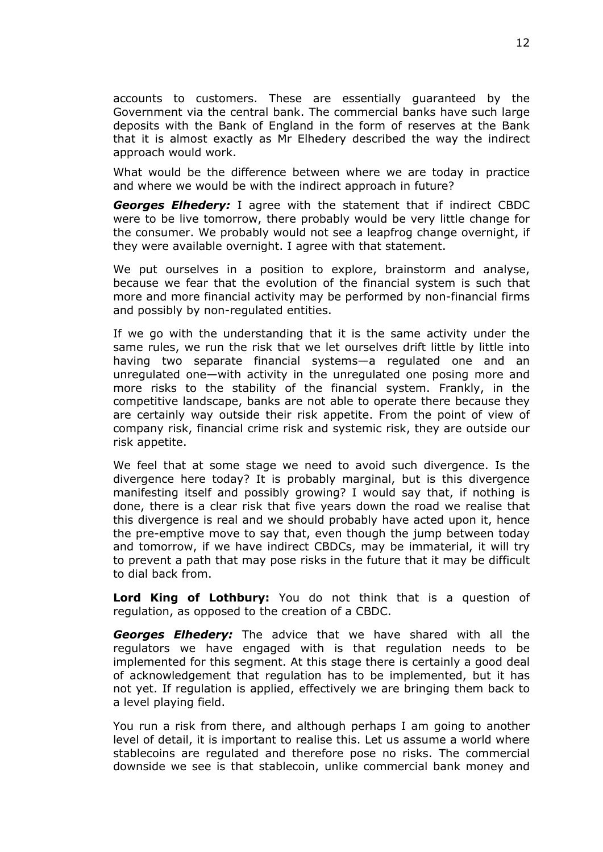accounts to customers. These are essentially guaranteed by the Government via the central bank. The commercial banks have such large deposits with the Bank of England in the form of reserves at the Bank that it is almost exactly as Mr Elhedery described the way the indirect approach would work.

What would be the difference between where we are today in practice and where we would be with the indirect approach in future?

*Georges Elhedery:* I agree with the statement that if indirect CBDC were to be live tomorrow, there probably would be very little change for the consumer. We probably would not see a leapfrog change overnight, if they were available overnight. I agree with that statement.

We put ourselves in a position to explore, brainstorm and analyse, because we fear that the evolution of the financial system is such that more and more financial activity may be performed by non-financial firms and possibly by non-regulated entities.

If we go with the understanding that it is the same activity under the same rules, we run the risk that we let ourselves drift little by little into having two separate financial systems—a regulated one and an unregulated one—with activity in the unregulated one posing more and more risks to the stability of the financial system. Frankly, in the competitive landscape, banks are not able to operate there because they are certainly way outside their risk appetite. From the point of view of company risk, financial crime risk and systemic risk, they are outside our risk appetite.

We feel that at some stage we need to avoid such divergence. Is the divergence here today? It is probably marginal, but is this divergence manifesting itself and possibly growing? I would say that, if nothing is done, there is a clear risk that five years down the road we realise that this divergence is real and we should probably have acted upon it, hence the pre-emptive move to say that, even though the jump between today and tomorrow, if we have indirect CBDCs, may be immaterial, it will try to prevent a path that may pose risks in the future that it may be difficult to dial back from.

**Lord King of Lothbury:** You do not think that is a question of regulation, as opposed to the creation of a CBDC.

*Georges Elhedery:* The advice that we have shared with all the regulators we have engaged with is that regulation needs to be implemented for this segment. At this stage there is certainly a good deal of acknowledgement that regulation has to be implemented, but it has not yet. If regulation is applied, effectively we are bringing them back to a level playing field.

You run a risk from there, and although perhaps I am going to another level of detail, it is important to realise this. Let us assume a world where stablecoins are regulated and therefore pose no risks. The commercial downside we see is that stablecoin, unlike commercial bank money and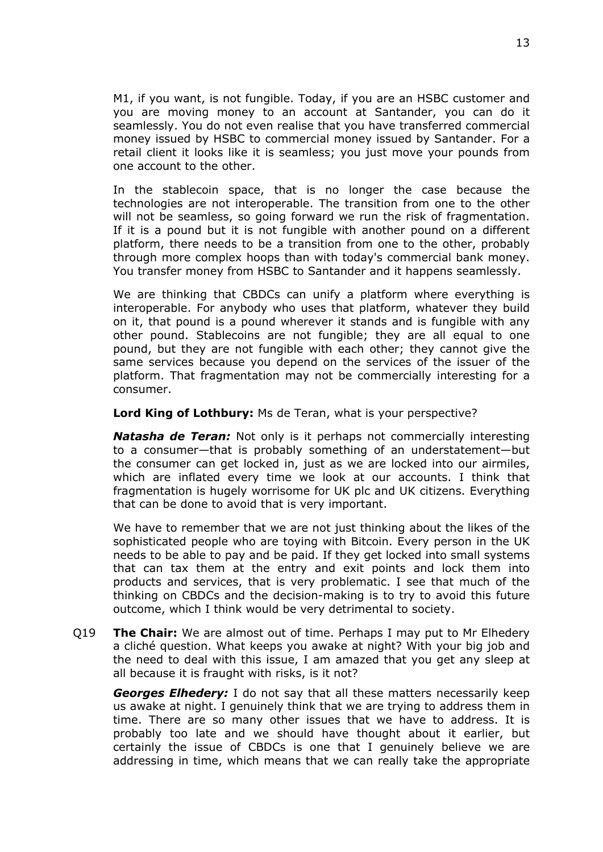M1, if you want, is not fungible. Today, if you are an HSBC customer and you are moving money to an account at Santander, you can do it seamlessly. You do not even realise that you have transferred commercial money issued by HSBC to commercial money issued by Santander. For a retail client it looks like it is seamless; you just move your pounds from one account to the other.

In the stablecoin space, that is no longer the case because the technologies are not interoperable. The transition from one to the other will not be seamless, so going forward we run the risk of fragmentation. If it is a pound but it is not fungible with another pound on a different platform, there needs to be a transition from one to the other, probably through more complex hoops than with today's commercial bank money. You transfer money from HSBC to Santander and it happens seamlessly.

We are thinking that CBDCs can unify a platform where everything is interoperable. For anybody who uses that platform, whatever they build on it, that pound is a pound wherever it stands and is fungible with any other pound. Stablecoins are not fungible; they are all equal to one pound, but they are not fungible with each other; they cannot give the same services because you depend on the services of the issuer of the platform. That fragmentation may not be commercially interesting for a consumer.

**Lord King of Lothbury:** Ms de Teran, what is your perspective?

*Natasha de Teran:* Not only is it perhaps not commercially interesting to a consumer—that is probably something of an understatement—but the consumer can get locked in, just as we are locked into our airmiles, which are inflated every time we look at our accounts. I think that fragmentation is hugely worrisome for UK plc and UK citizens. Everything that can be done to avoid that is very important.

We have to remember that we are not just thinking about the likes of the sophisticated people who are toying with Bitcoin. Every person in the UK needs to be able to pay and be paid. If they get locked into small systems that can tax them at the entry and exit points and lock them into products and services, that is very problematic. I see that much of the thinking on CBDCs and the decision-making is to try to avoid this future outcome, which I think would be very detrimental to society.

Q19 **The Chair:** We are almost out of time. Perhaps I may put to Mr Elhedery a cliché question. What keeps you awake at night? With your big job and the need to deal with this issue, I am amazed that you get any sleep at all because it is fraught with risks, is it not?

*Georges Elhedery:* I do not say that all these matters necessarily keep us awake at night. I genuinely think that we are trying to address them in time. There are so many other issues that we have to address. It is probably too late and we should have thought about it earlier, but certainly the issue of CBDCs is one that I genuinely believe we are addressing in time, which means that we can really take the appropriate